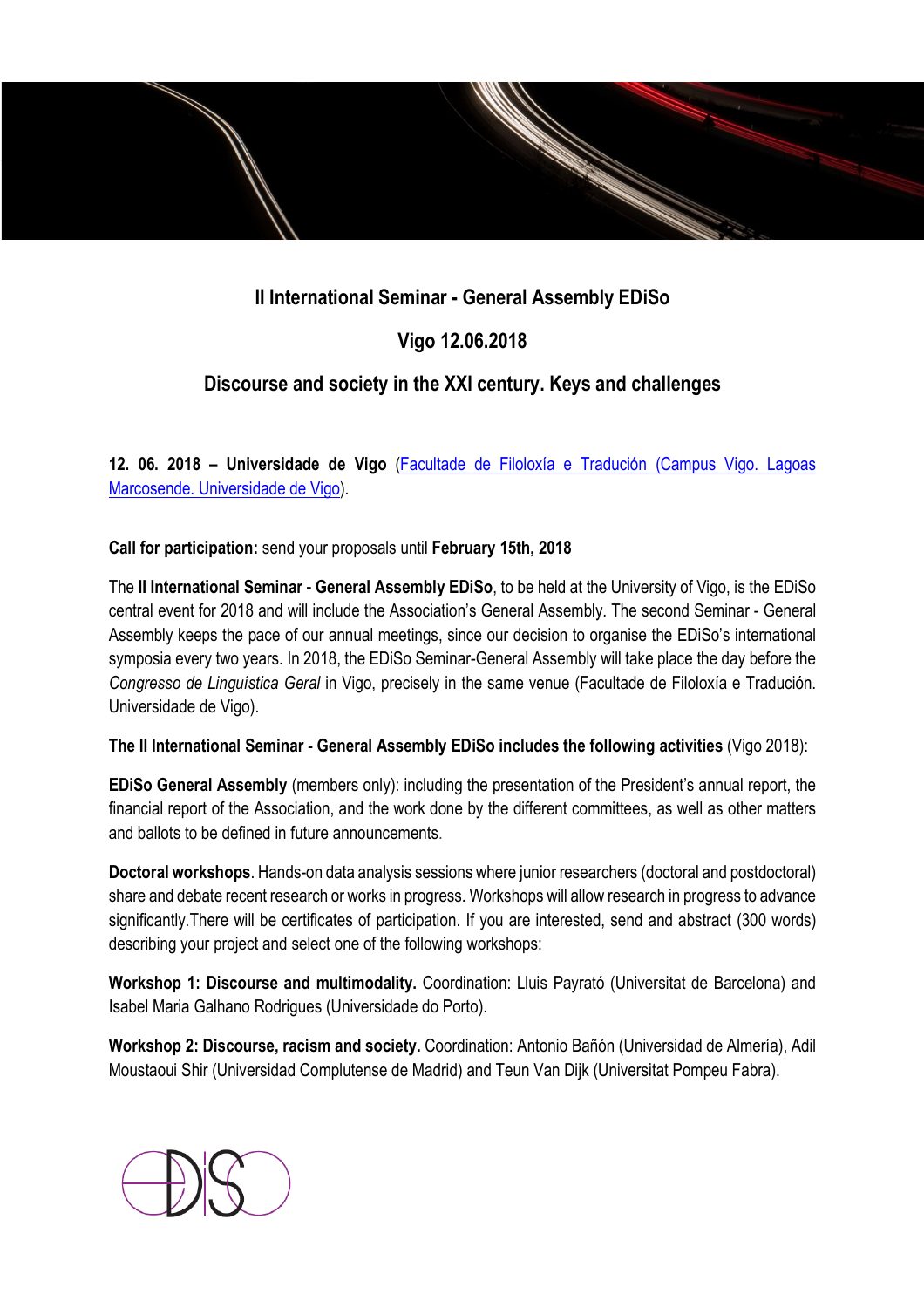# **II International Seminar - General Assembly EDiSo**

# **Vigo 12.06.2018**

## **Discourse and society in the XXI century. Keys and challenges**

**12. 06. 2018 – Universidade de Vigo** (Facultade de Filoloxía e Tradución (Campus Vigo. Lagoas Marcosende. Universidade de Vigo).

**Call for participation:** send your proposals until **February 15th, 2018** 

The **II International Seminar - General Assembly EDiSo**, to be held at the University of Vigo, is the EDiSo central event for 2018 and will include the Association's General Assembly. The second Seminar - General Assembly keeps the pace of our annual meetings, since our decision to organise the EDiSo's international symposia every two years. In 2018, the EDiSo Seminar-General Assembly will take place the day before the *Congresso de Linguística Geral* in Vigo, precisely in the same venue (Facultade de Filoloxía e Tradución. Universidade de Vigo).

**The II International Seminar - General Assembly EDiSo includes the following activities** (Vigo 2018):

**EDiSo General Assembly** (members only): including the presentation of the President's annual report, the financial report of the Association, and the work done by the different committees, as well as other matters and ballots to be defined in future announcements.

**Doctoral workshops**. Hands-on data analysis sessions where junior researchers (doctoral and postdoctoral) share and debate recent research or works in progress. Workshops will allow research in progress to advance significantly.There will be certificates of participation. If you are interested, send and abstract (300 words) describing your project and select one of the following workshops:

**Workshop 1: Discourse and multimodality.** Coordination: Lluis Payrató (Universitat de Barcelona) and Isabel Maria Galhano Rodrigues (Universidade do Porto).

**Workshop 2: Discourse, racism and society.** Coordination: Antonio Bañón (Universidad de Almería), Adil Moustaoui Shir (Universidad Complutense de Madrid) and Teun Van Dijk (Universitat Pompeu Fabra).

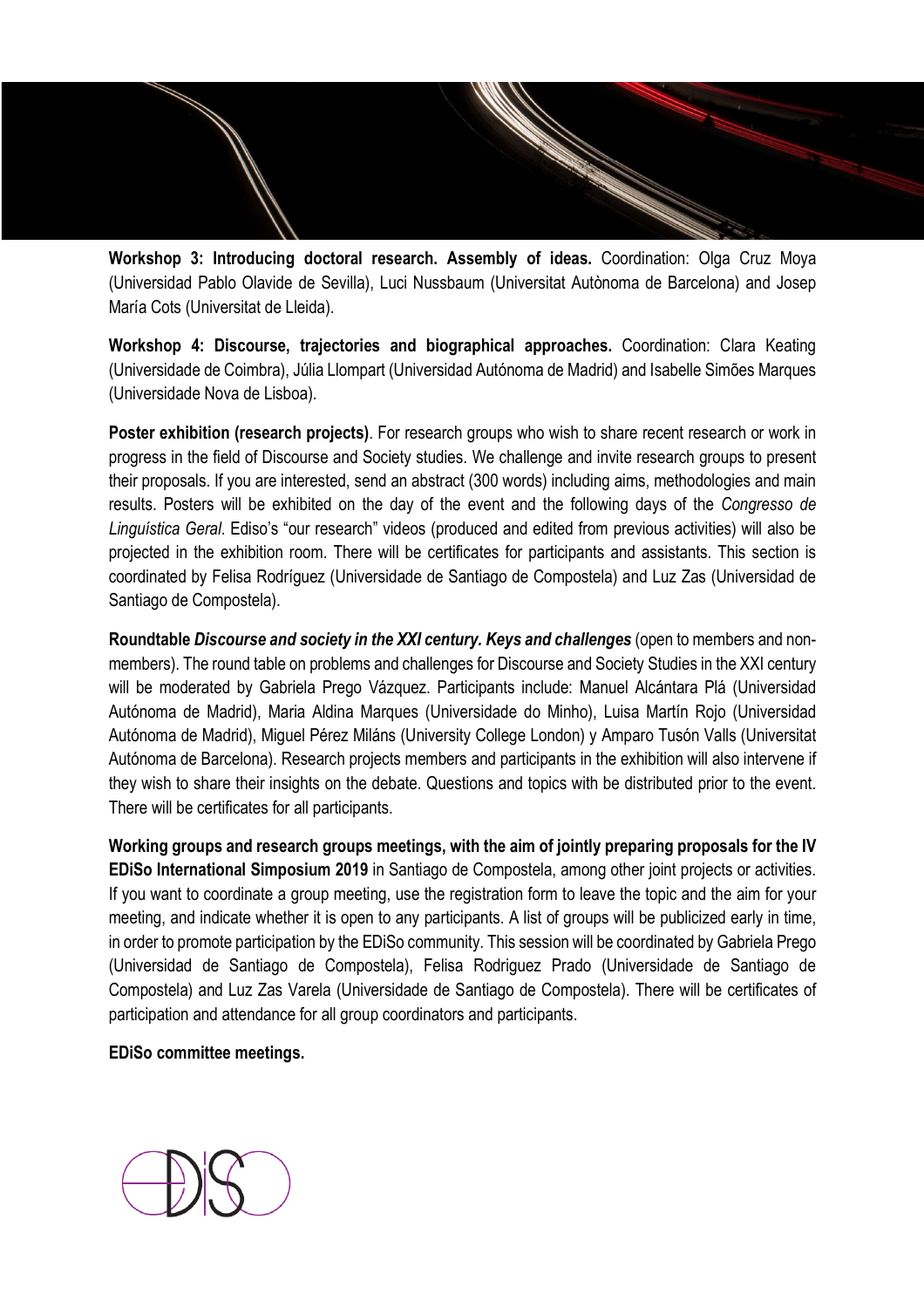**Workshop 3: Introducing doctoral research. Assembly of ideas.** Coordination: Olga Cruz Moya (Universidad Pablo Olavide de Sevilla), Luci Nussbaum (Universitat Autònoma de Barcelona) and Josep María Cots (Universitat de Lleida).

**Workshop 4: Discourse, trajectories and biographical approaches.** Coordination: Clara Keating (Universidade de Coimbra), Júlia Llompart (Universidad Autónoma de Madrid) and Isabelle Simões Marques (Universidade Nova de Lisboa).

**Poster exhibition (research projects)**. For research groups who wish to share recent research or work in progress in the field of Discourse and Society studies. We challenge and invite research groups to present their proposals. If you are interested, send an abstract (300 words) including aims, methodologies and main results. Posters will be exhibited on the day of the event and the following days of the *Congresso de Linguística Geral*. Ediso's "our research" videos (produced and edited from previous activities) will also be projected in the exhibition room. There will be certificates for participants and assistants. This section is coordinated by Felisa Rodríguez (Universidade de Santiago de Compostela) and Luz Zas (Universidad de Santiago de Compostela).

**Roundtable** *Discourse and society in the XXI century. Keys and challenges* (open to members and nonmembers). The round table on problems and challenges for Discourse and Society Studies in the XXI century will be moderated by Gabriela Prego Vázquez. Participants include: Manuel Alcántara Plá (Universidad Autónoma de Madrid), Maria Aldina Marques (Universidade do Minho), Luisa Martín Rojo (Universidad Autónoma de Madrid), Miguel Pérez Miláns (University College London) y Amparo Tusón Valls (Universitat Autónoma de Barcelona). Research projects members and participants in the exhibition will also intervene if they wish to share their insights on the debate. Questions and topics with be distributed prior to the event. There will be certificates for all participants.

**Working groups and research groups meetings, with the aim of jointly preparing proposals for the IV EDiSo International Simposium 2019** in Santiago de Compostela, among other joint projects or activities. If you want to coordinate a group meeting, use the registration form to leave the topic and the aim for your meeting, and indicate whether it is open to any participants. A list of groups will be publicized early in time, in order to promote participation by the EDiSo community. This session will be coordinated by Gabriela Prego (Universidad de Santiago de Compostela), Felisa Rodriguez Prado (Universidade de Santiago de Compostela) and Luz Zas Varela (Universidade de Santiago de Compostela). There will be certificates of participation and attendance for all group coordinators and participants.

**EDiSo committee meetings.** 

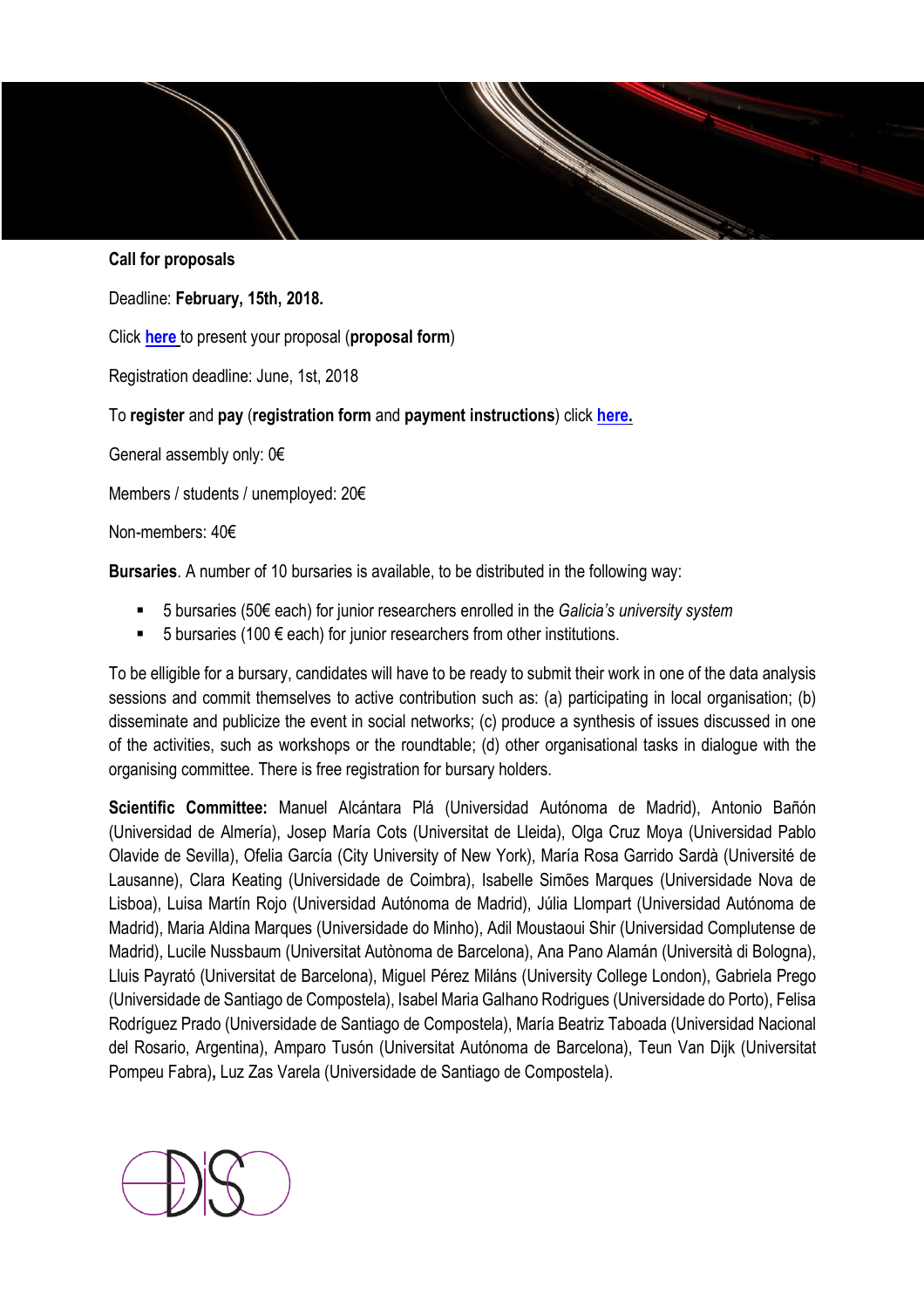## **Call for proposals**

Deadline: **February, 15th, 2018.** 

Click **here** to present your proposal (**proposal form**)

Registration deadline: June, 1st, 2018

### To **register** and **pay** (**registration form** and **payment instructions**) click **here.**

General assembly only: 0€

Members / students / unemployed: 20€

Non-members: 40€

**Bursaries**. A number of 10 bursaries is available, to be distributed in the following way:

- 5 bursaries (50€ each) for junior researchers enrolled in the *Galicia's university system*
- 5 bursaries (100  $\epsilon$  each) for junior researchers from other institutions.

To be elligible for a bursary, candidates will have to be ready to submit their work in one of the data analysis sessions and commit themselves to active contribution such as: (a) participating in local organisation; (b) disseminate and publicize the event in social networks; (c) produce a synthesis of issues discussed in one of the activities, such as workshops or the roundtable; (d) other organisational tasks in dialogue with the organising committee. There is free registration for bursary holders.

**Scientific Committee:** Manuel Alcántara Plá (Universidad Autónoma de Madrid), Antonio Bañón (Universidad de Almería), Josep María Cots (Universitat de Lleida), Olga Cruz Moya (Universidad Pablo Olavide de Sevilla), Ofelia García (City University of New York), María Rosa Garrido Sardà (Université de Lausanne), Clara Keating (Universidade de Coimbra), Isabelle Simões Marques (Universidade Nova de Lisboa), Luisa Martín Rojo (Universidad Autónoma de Madrid), Júlia Llompart (Universidad Autónoma de Madrid), Maria Aldina Marques (Universidade do Minho), Adil Moustaoui Shir (Universidad Complutense de Madrid), Lucile Nussbaum (Universitat Autònoma de Barcelona), Ana Pano Alamán (Università di Bologna), Lluis Payrató (Universitat de Barcelona), Miguel Pérez Miláns (University College London), Gabriela Prego (Universidade de Santiago de Compostela), Isabel Maria Galhano Rodrigues (Universidade do Porto), Felisa Rodríguez Prado (Universidade de Santiago de Compostela), María Beatriz Taboada (Universidad Nacional del Rosario, Argentina), Amparo Tusón (Universitat Autónoma de Barcelona), Teun Van Dijk (Universitat Pompeu Fabra)**,** Luz Zas Varela (Universidade de Santiago de Compostela).